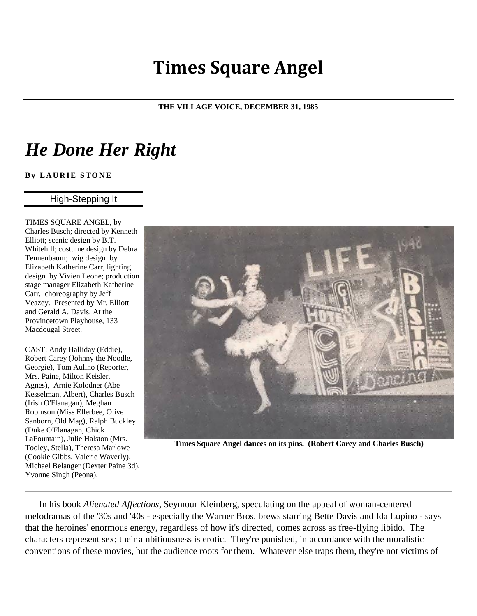## **Times Square Angel**

## **THE VILLAGE VOICE, DECEMBER 31, 1985**

## *He Done Her Right*

**By LAURIE STONE** 

## High-Stepping It

TIMES SQUARE ANGEL, by Charles Busch; directed by Kenneth Elliott; scenic design by B.T. Whitehill; costume design by Debra Tennenbaum; wig design by Elizabeth Katherine Carr, lighting design by Vivien Leone; production stage manager Elizabeth Katherine Carr, choreography by Jeff Veazey. Presented by Mr. Elliott and Gerald A. Davis. At the Provincetown Playhouse, 133 Macdougal Street.

CAST: Andy Halliday (Eddie), Robert Carey (Johnny the Noodle, Georgie), Tom Aulino (Reporter, Mrs. Paine, Milton Keisler, Agnes), Arnie Kolodner (Abe Kesselman, Albert), Charles Busch (Irish O'Flanagan), Meghan Robinson (Miss Ellerbee, Olive Sanborn, Old Mag), Ralph Buckley (Duke O'Flanagan, Chick LaFountain), Julie Halston (Mrs. Tooley, Stella), Theresa Marlowe (Cookie Gibbs, Valerie Waverly), Michael Belanger (Dexter Paine 3d), Yvonne Singh (Peona).



**Times Square Angel dances on its pins. (Robert Carey and Charles Busch)**

In his book *Alienated Affections*, Seymour Kleinberg, speculating on the appeal of woman-centered melodramas of the '30s and '40s - especially the Warner Bros. brews starring Bette Davis and Ida Lupino - says that the heroines' enormous energy, regardless of how it's directed, comes across as free-flying libido. The characters represent sex; their ambitiousness is erotic. They're punished, in accordance with the moralistic conventions of these movies, but the audience roots for them. Whatever else traps them, they're not victims of